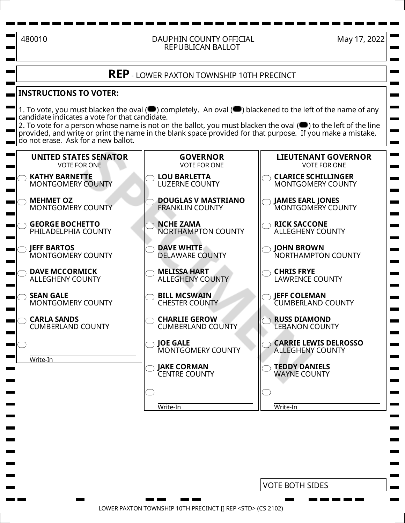## 480010 DAUPHIN COUNTY OFFICIAL REPUBLICAN BALLOT

## **REP**- LOWER PAXTON TOWNSHIP 10TH PRECINCT

## **INSTRUCTIONS TO VOTER:**

1. To vote, you must blacken the oval (●) completely. An oval (●) blackened to the left of the name of any candidate indicates a vote for that candidate.

2. To vote for a person whose name is not on the ballot, you must blacken the oval  $($ **)** to the left of the line provided, and write or print the name in the blank space provided for that purpose. If you make a mistake, do not erase. Ask for a new ballot.